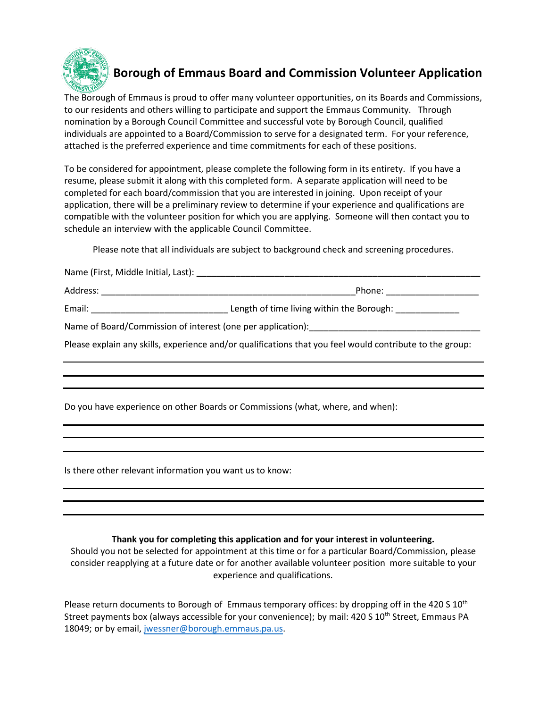

# **Borough of Emmaus Board and Commission Volunteer Application**

The Borough of Emmaus is proud to offer many volunteer opportunities, on its Boards and Commissions, to our residents and others willing to participate and support the Emmaus Community. Through nomination by a Borough Council Committee and successful vote by Borough Council, qualified individuals are appointed to a Board/Commission to serve for a designated term. For your reference, attached is the preferred experience and time commitments for each of these positions.

To be considered for appointment, please complete the following form in its entirety. If you have a resume, please submit it along with this completed form. A separate application will need to be completed for each board/commission that you are interested in joining. Upon receipt of your application, there will be a preliminary review to determine if your experience and qualifications are compatible with the volunteer position for which you are applying. Someone will then contact you to schedule an interview with the applicable Council Committee.

Please note that all individuals are subject to background check and screening procedures.

Name (First, Middle Initial, Last): **\_\_\_\_\_\_\_\_\_\_\_\_\_\_\_\_\_\_\_\_\_\_\_\_\_\_\_\_\_\_\_\_\_\_\_\_\_\_\_\_\_\_\_\_\_\_\_\_\_\_\_\_\_\_\_\_\_\_**

| Address: | Phone: |
|----------|--------|

Email: \_\_\_\_\_\_\_\_\_\_\_\_\_\_\_\_\_\_\_\_\_\_\_\_\_\_\_\_ Length of time living within the Borough: \_\_\_\_\_\_\_\_\_\_\_\_\_

Name of Board/Commission of interest (one per application): \_\_\_\_\_\_\_\_\_\_\_\_\_\_\_\_\_\_\_\_

Please explain any skills, experience and/or qualifications that you feel would contribute to the group:

Do you have experience on other Boards or Commissions (what, where, and when):

Is there other relevant information you want us to know:

# **Thank you for completing this application and for your interest in volunteering.**

Should you not be selected for appointment at this time or for a particular Board/Commission, please consider reapplying at a future date or for another available volunteer position more suitable to your experience and qualifications.

Please return documents to Borough of Emmaus temporary offices: by dropping off in the 420 S 10<sup>th</sup> Street payments box (always accessible for your convenience); by mail: 420 S 10<sup>th</sup> Street, Emmaus PA 18049; or by email, [jwessner@borough.emmaus.pa.us.](mailto:jwessner@borough.emmaus.pa.us)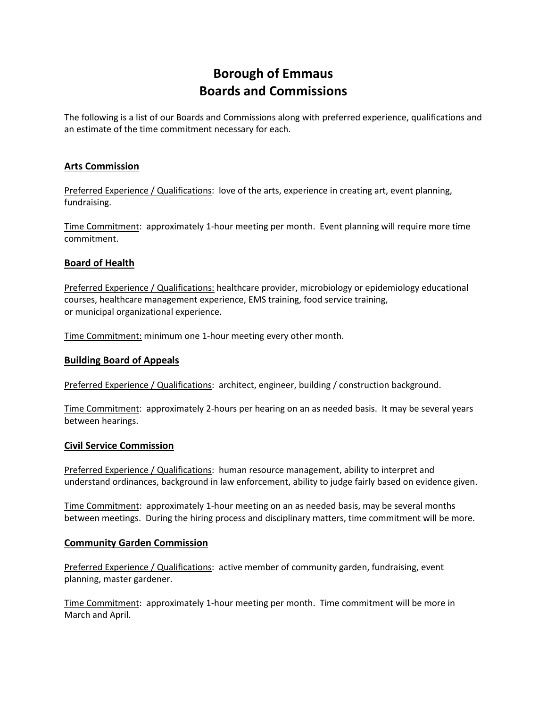# **Borough of Emmaus Boards and Commissions**

The following is a list of our Boards and Commissions along with preferred experience, qualifications and an estimate of the time commitment necessary for each.

## **Arts Commission**

Preferred Experience / Qualifications: love of the arts, experience in creating art, event planning, fundraising.

Time Commitment: approximately 1-hour meeting per month. Event planning will require more time commitment.

## **Board of Health**

Preferred Experience / Qualifications: healthcare provider, microbiology or epidemiology educational courses, healthcare management experience, EMS training, food service training, or municipal organizational experience.

Time Commitment: minimum one 1-hour meeting every other month.

#### **Building Board of Appeals**

Preferred Experience / Qualifications: architect, engineer, building / construction background.

Time Commitment: approximately 2-hours per hearing on an as needed basis. It may be several years between hearings.

#### **Civil Service Commission**

Preferred Experience / Qualifications: human resource management, ability to interpret and understand ordinances, background in law enforcement, ability to judge fairly based on evidence given.

Time Commitment: approximately 1-hour meeting on an as needed basis, may be several months between meetings. During the hiring process and disciplinary matters, time commitment will be more.

#### **Community Garden Commission**

Preferred Experience / Qualifications: active member of community garden, fundraising, event planning, master gardener.

Time Commitment: approximately 1-hour meeting per month. Time commitment will be more in March and April.